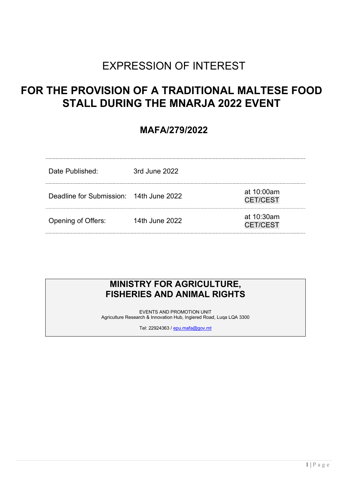# EXPRESSION OF INTEREST

# FOR THE PROVISION OF A TRADITIONAL MALTESE FOOD STALL DURING THE MNARJA 2022 EVENT

# MAFA/279/2022

| Date Published:                         | 3rd June 2022  |                               |
|-----------------------------------------|----------------|-------------------------------|
| Deadline for Submission: 14th June 2022 |                | at 10:00am<br><b>CET/CEST</b> |
| Opening of Offers:                      | 14th June 2022 | at 10:30am<br><b>CET/CEST</b> |

# MINISTRY FOR AGRICULTURE, FISHERIES AND ANIMAL RIGHTS

EVENTS AND PROMOTION UNIT Agriculture Research & Innovation Hub, Ingiered Road, Luqa LQA 3300

Tel: 22924363 / epu.mafa@gov.mt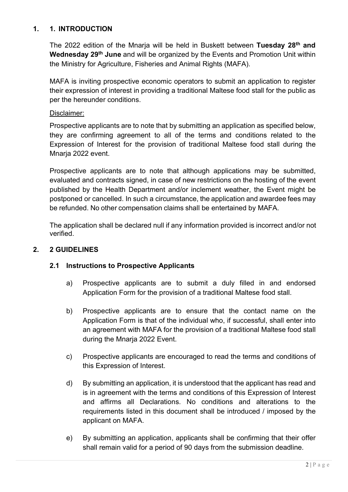## 1. 1. INTRODUCTION

The 2022 edition of the Mnarja will be held in Buskett between Tuesday 28<sup>th</sup> and Wednesday 29<sup>th</sup> June and will be organized by the Events and Promotion Unit within the Ministry for Agriculture, Fisheries and Animal Rights (MAFA).

MAFA is inviting prospective economic operators to submit an application to register their expression of interest in providing a traditional Maltese food stall for the public as per the hereunder conditions.

#### Disclaimer:

Prospective applicants are to note that by submitting an application as specified below, they are confirming agreement to all of the terms and conditions related to the Expression of Interest for the provision of traditional Maltese food stall during the Mnarja 2022 event.

Prospective applicants are to note that although applications may be submitted, evaluated and contracts signed, in case of new restrictions on the hosting of the event published by the Health Department and/or inclement weather, the Event might be postponed or cancelled. In such a circumstance, the application and awardee fees may be refunded. No other compensation claims shall be entertained by MAFA.

The application shall be declared null if any information provided is incorrect and/or not verified.

## 2. 2 GUIDELINES

## 2.1 Instructions to Prospective Applicants

- a) Prospective applicants are to submit a duly filled in and endorsed Application Form for the provision of a traditional Maltese food stall.
- b) Prospective applicants are to ensure that the contact name on the Application Form is that of the individual who, if successful, shall enter into an agreement with MAFA for the provision of a traditional Maltese food stall during the Mnarja 2022 Event.
- c) Prospective applicants are encouraged to read the terms and conditions of this Expression of Interest.
- d) By submitting an application, it is understood that the applicant has read and is in agreement with the terms and conditions of this Expression of Interest and affirms all Declarations. No conditions and alterations to the requirements listed in this document shall be introduced / imposed by the applicant on MAFA.
- e) By submitting an application, applicants shall be confirming that their offer shall remain valid for a period of 90 days from the submission deadline.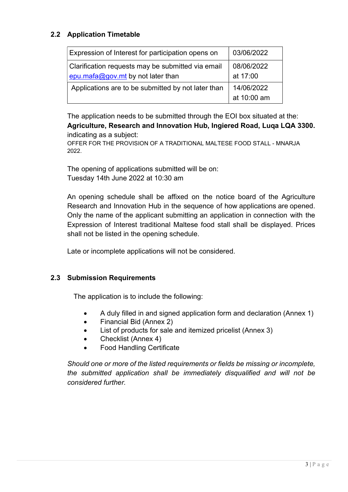# 2.2 Application Timetable

| Expression of Interest for participation opens on  | 03/06/2022  |
|----------------------------------------------------|-------------|
| Clarification requests may be submitted via email  | 08/06/2022  |
| epu.mafa@gov.mt by not later than                  | at 17:00    |
| Applications are to be submitted by not later than | 14/06/2022  |
|                                                    | at 10:00 am |

The application needs to be submitted through the EOI box situated at the: Agriculture, Research and Innovation Hub, Ingiered Road, Luqa LQA 3300. indicating as a subject:

OFFER FOR THE PROVISION OF A TRADITIONAL MALTESE FOOD STALL - MNARJA 2022.

The opening of applications submitted will be on: Tuesday 14th June 2022 at 10:30 am

An opening schedule shall be affixed on the notice board of the Agriculture Research and Innovation Hub in the sequence of how applications are opened. Only the name of the applicant submitting an application in connection with the Expression of Interest traditional Maltese food stall shall be displayed. Prices shall not be listed in the opening schedule.

Late or incomplete applications will not be considered.

## 2.3 Submission Requirements

The application is to include the following:

- A duly filled in and signed application form and declaration (Annex 1)
- Financial Bid (Annex 2)
- List of products for sale and itemized pricelist (Annex 3)
- Checklist (Annex 4)
- Food Handling Certificate

Should one or more of the listed requirements or fields be missing or incomplete, the submitted application shall be immediately disqualified and will not be considered further.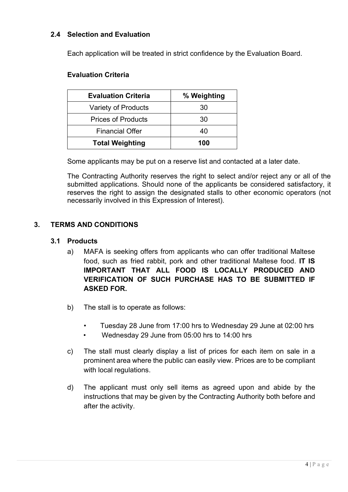## 2.4 Selection and Evaluation

Each application will be treated in strict confidence by the Evaluation Board.

#### Evaluation Criteria

| <b>Evaluation Criteria</b> | % Weighting |
|----------------------------|-------------|
| Variety of Products        | 30          |
| <b>Prices of Products</b>  | 30          |
| <b>Financial Offer</b>     | 40          |
| <b>Total Weighting</b>     | 100         |

Some applicants may be put on a reserve list and contacted at a later date.

The Contracting Authority reserves the right to select and/or reject any or all of the submitted applications. Should none of the applicants be considered satisfactory, it reserves the right to assign the designated stalls to other economic operators (not necessarily involved in this Expression of Interest).

#### 3. TERMS AND CONDITIONS

#### 3.1 Products

- a) MAFA is seeking offers from applicants who can offer traditional Maltese food, such as fried rabbit, pork and other traditional Maltese food. IT IS IMPORTANT THAT ALL FOOD IS LOCALLY PRODUCED AND VERIFICATION OF SUCH PURCHASE HAS TO BE SUBMITTED IF ASKED FOR.
- b) The stall is to operate as follows:
	- Tuesday 28 June from 17:00 hrs to Wednesday 29 June at 02:00 hrs
	- Wednesday 29 June from 05:00 hrs to 14:00 hrs
- c) The stall must clearly display a list of prices for each item on sale in a prominent area where the public can easily view. Prices are to be compliant with local regulations.
- d) The applicant must only sell items as agreed upon and abide by the instructions that may be given by the Contracting Authority both before and after the activity.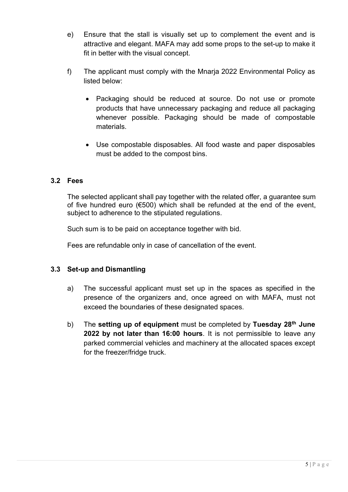- e) Ensure that the stall is visually set up to complement the event and is attractive and elegant. MAFA may add some props to the set-up to make it fit in better with the visual concept.
- f) The applicant must comply with the Mnarja 2022 Environmental Policy as listed below:
	- Packaging should be reduced at source. Do not use or promote products that have unnecessary packaging and reduce all packaging whenever possible. Packaging should be made of compostable materials.
	- Use compostable disposables. All food waste and paper disposables must be added to the compost bins.

## 3.2 Fees

The selected applicant shall pay together with the related offer, a guarantee sum of five hundred euro ( $6500$ ) which shall be refunded at the end of the event, subject to adherence to the stipulated regulations.

Such sum is to be paid on acceptance together with bid.

Fees are refundable only in case of cancellation of the event.

## 3.3 Set-up and Dismantling

- a) The successful applicant must set up in the spaces as specified in the presence of the organizers and, once agreed on with MAFA, must not exceed the boundaries of these designated spaces.
- b) The setting up of equipment must be completed by Tuesday  $28<sup>th</sup>$  June 2022 by not later than 16:00 hours. It is not permissible to leave any parked commercial vehicles and machinery at the allocated spaces except for the freezer/fridge truck.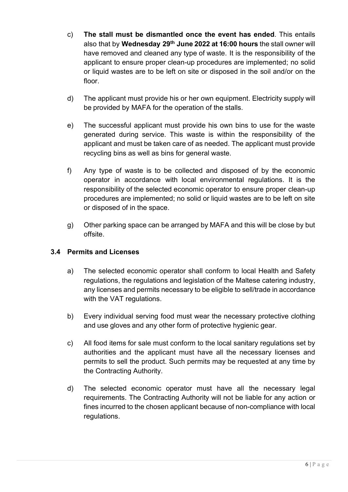- c) The stall must be dismantled once the event has ended. This entails also that by Wednesday 29<sup>th</sup> June 2022 at 16:00 hours the stall owner will have removed and cleaned any type of waste. It is the responsibility of the applicant to ensure proper clean-up procedures are implemented; no solid or liquid wastes are to be left on site or disposed in the soil and/or on the floor.
- d) The applicant must provide his or her own equipment. Electricity supply will be provided by MAFA for the operation of the stalls.
- e) The successful applicant must provide his own bins to use for the waste generated during service. This waste is within the responsibility of the applicant and must be taken care of as needed. The applicant must provide recycling bins as well as bins for general waste.
- f) Any type of waste is to be collected and disposed of by the economic operator in accordance with local environmental regulations. It is the responsibility of the selected economic operator to ensure proper clean-up procedures are implemented; no solid or liquid wastes are to be left on site or disposed of in the space.
- g) Other parking space can be arranged by MAFA and this will be close by but offsite.

# 3.4 Permits and Licenses

- a) The selected economic operator shall conform to local Health and Safety regulations, the regulations and legislation of the Maltese catering industry, any licenses and permits necessary to be eligible to sell/trade in accordance with the VAT regulations.
- b) Every individual serving food must wear the necessary protective clothing and use gloves and any other form of protective hygienic gear.
- c) All food items for sale must conform to the local sanitary regulations set by authorities and the applicant must have all the necessary licenses and permits to sell the product. Such permits may be requested at any time by the Contracting Authority.
- d) The selected economic operator must have all the necessary legal requirements. The Contracting Authority will not be liable for any action or fines incurred to the chosen applicant because of non-compliance with local regulations.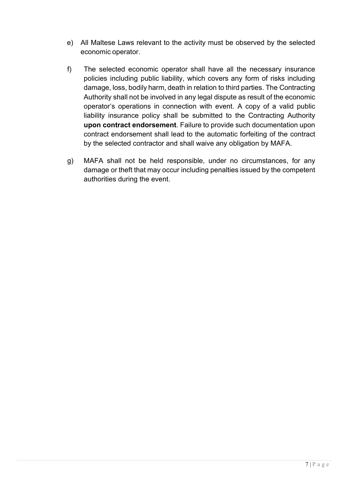- e) All Maltese Laws relevant to the activity must be observed by the selected economic operator.
- f) The selected economic operator shall have all the necessary insurance policies including public liability, which covers any form of risks including damage, loss, bodily harm, death in relation to third parties. The Contracting Authority shall not be involved in any legal dispute as result of the economic operator's operations in connection with event. A copy of a valid public liability insurance policy shall be submitted to the Contracting Authority upon contract endorsement. Failure to provide such documentation upon contract endorsement shall lead to the automatic forfeiting of the contract by the selected contractor and shall waive any obligation by MAFA.
- g) MAFA shall not be held responsible, under no circumstances, for any damage or theft that may occur including penalties issued by the competent authorities during the event.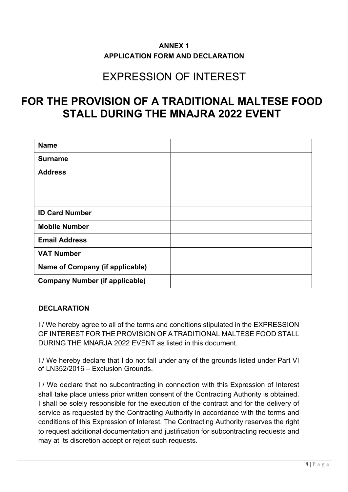# ANNEX 1 APPLICATION FORM AND DECLARATION

# EXPRESSION OF INTEREST

# FOR THE PROVISION OF A TRADITIONAL MALTESE FOOD STALL DURING THE MNAJRA 2022 EVENT

| <b>Name</b>                            |  |
|----------------------------------------|--|
| <b>Surname</b>                         |  |
| <b>Address</b>                         |  |
|                                        |  |
|                                        |  |
| <b>ID Card Number</b>                  |  |
| <b>Mobile Number</b>                   |  |
| <b>Email Address</b>                   |  |
| <b>VAT Number</b>                      |  |
| <b>Name of Company (if applicable)</b> |  |
| <b>Company Number (if applicable)</b>  |  |

## DECLARATION

I / We hereby agree to all of the terms and conditions stipulated in the EXPRESSION OF INTEREST FOR THE PROVISION OF A TRADITIONAL MALTESE FOOD STALL DURING THE MNARJA 2022 EVENT as listed in this document.

I / We hereby declare that I do not fall under any of the grounds listed under Part VI of LN352/2016 – Exclusion Grounds.

I / We declare that no subcontracting in connection with this Expression of Interest shall take place unless prior written consent of the Contracting Authority is obtained. I shall be solely responsible for the execution of the contract and for the delivery of service as requested by the Contracting Authority in accordance with the terms and conditions of this Expression of Interest. The Contracting Authority reserves the right to request additional documentation and justification for subcontracting requests and may at its discretion accept or reject such requests.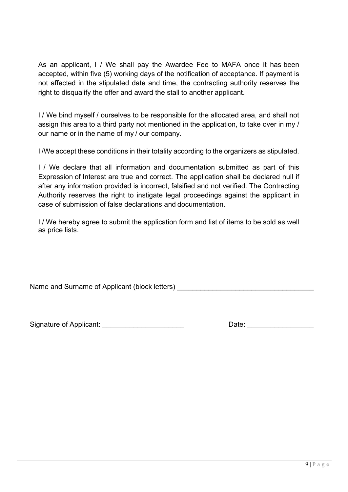As an applicant, I / We shall pay the Awardee Fee to MAFA once it has been accepted, within five (5) working days of the notification of acceptance. If payment is not affected in the stipulated date and time, the contracting authority reserves the right to disqualify the offer and award the stall to another applicant.

I / We bind myself / ourselves to be responsible for the allocated area, and shall not assign this area to a third party not mentioned in the application, to take over in my / our name or in the name of my / our company.

I /We accept these conditions in their totality according to the organizers as stipulated.

I / We declare that all information and documentation submitted as part of this Expression of Interest are true and correct. The application shall be declared null if after any information provided is incorrect, falsified and not verified. The Contracting Authority reserves the right to instigate legal proceedings against the applicant in case of submission of false declarations and documentation.

I / We hereby agree to submit the application form and list of items to be sold as well as price lists.

Name and Surname of Applicant (block letters) **Name and Surname of Applicant** (block letters)

Signature of Applicant: \_\_\_\_\_\_\_\_\_\_\_\_\_\_\_\_\_\_\_\_\_ Date: \_\_\_\_\_\_\_\_\_\_\_\_\_\_\_\_\_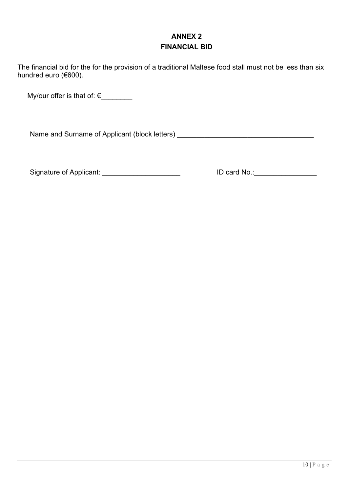# ANNEX 2 FINANCIAL BID

The financial bid for the for the provision of a traditional Maltese food stall must not be less than six hundred euro (€600).

My/our offer is that of:  $\epsilon$ 

Name and Surname of Applicant (block letters) \_\_\_\_\_\_\_\_\_\_\_\_\_\_\_\_\_\_\_\_\_\_\_\_\_\_\_\_\_\_\_\_\_\_

Signature of Applicant: \_\_\_\_\_\_\_\_\_\_\_\_\_\_\_\_\_\_\_\_ ID card No.:\_\_\_\_\_\_\_\_\_\_\_\_\_\_\_\_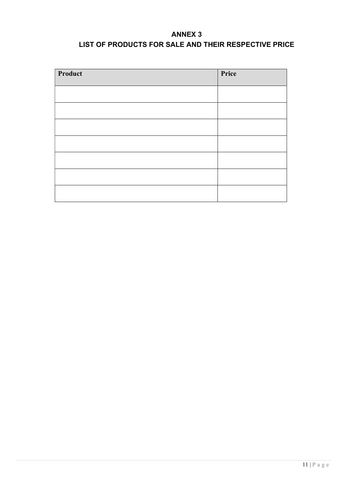# ANNEX 3 LIST OF PRODUCTS FOR SALE AND THEIR RESPECTIVE PRICE

| Product | Price |
|---------|-------|
|         |       |
|         |       |
|         |       |
|         |       |
|         |       |
|         |       |
|         |       |